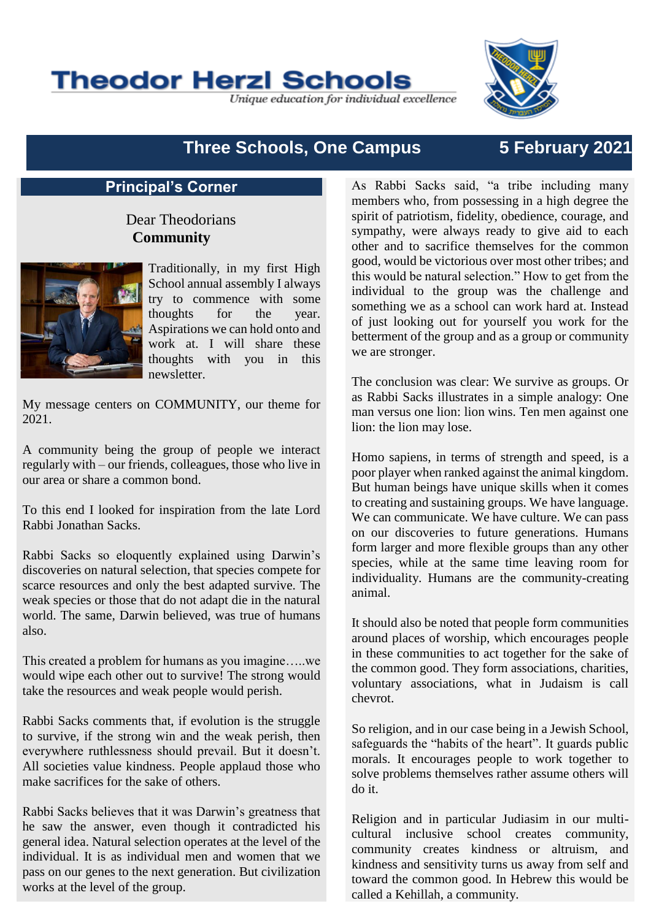**Theodor Herzl Schools** 

Unique education for individual excellence

# **Three Schools, One Campus 5 February 2021**

# **Principal's Corner**

# Dear Theodorians **Community**



Traditionally, in my first High School annual assembly I always try to commence with some thoughts for the year. Aspirations we can hold onto and work at. I will share these thoughts with you in this newsletter.

My message centers on COMMUNITY, our theme for 2021.

A community being the group of people we interact regularly with – our friends, colleagues, those who live in our area or share a common bond.

To this end I looked for inspiration from the late Lord Rabbi Jonathan Sacks.

Rabbi Sacks so eloquently explained using Darwin's discoveries on natural selection, that species compete for scarce resources and only the best adapted survive. The weak species or those that do not adapt die in the natural world. The same, Darwin believed, was true of humans also.

This created a problem for humans as you imagine…..we would wipe each other out to survive! The strong would take the resources and weak people would perish.

Rabbi Sacks comments that, if evolution is the struggle to survive, if the strong win and the weak perish, then everywhere ruthlessness should prevail. But it doesn't. All societies value kindness. People applaud those who make sacrifices for the sake of others.

Rabbi Sacks believes that it was Darwin's greatness that he saw the answer, even though it contradicted his general idea. Natural selection operates at the level of the individual. It is as individual men and women that we pass on our genes to the next generation. But civilization works at the level of the group.

As Rabbi Sacks said, "a tribe including many members who, from possessing in a high degree the spirit of patriotism, fidelity, obedience, courage, and sympathy, were always ready to give aid to each other and to sacrifice themselves for the common good, would be victorious over most other tribes; and this would be natural selection." How to get from the individual to the group was the challenge and something we as a school can work hard at. Instead of just looking out for yourself you work for the betterment of the group and as a group or community we are stronger.

The conclusion was clear: We survive as groups. Or as Rabbi Sacks illustrates in a simple analogy: One man versus one lion: lion wins. Ten men against one lion: the lion may lose.

Homo sapiens, in terms of strength and speed, is a poor player when ranked against the animal kingdom. But human beings have unique skills when it comes to creating and sustaining groups. We have language. We can communicate. We have culture. We can pass on our discoveries to future generations. Humans form larger and more flexible groups than any other species, while at the same time leaving room for individuality. Humans are the community-creating animal.

It should also be noted that people form communities around places of worship, which encourages people in these communities to act together for the sake of the common good. They form associations, charities, voluntary associations, what in Judaism is call chevrot.

So religion, and in our case being in a Jewish School, safeguards the "habits of the heart". It guards public morals. It encourages people to work together to solve problems themselves rather assume others will do it.

Religion and in particular Judiasim in our multicultural inclusive school creates community, community creates kindness or altruism, and kindness and sensitivity turns us away from self and toward the common good. In Hebrew this would be called a Kehillah, a community.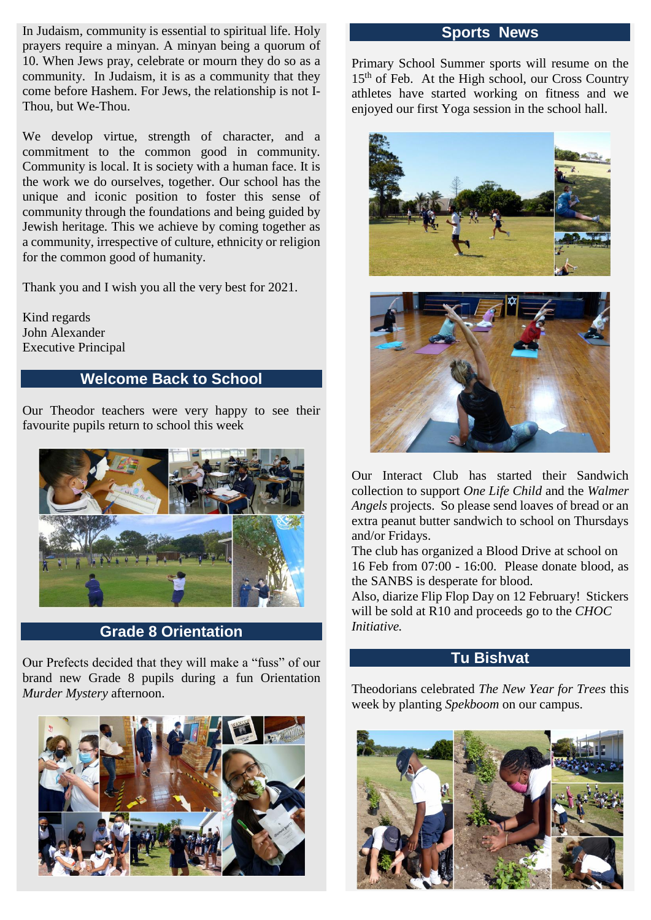In Judaism, community is essential to spiritual life. Holy prayers require a minyan. A minyan being a quorum of 10. When Jews pray, celebrate or mourn they do so as a community. In Judaism, it is as a community that they come before Hashem. For Jews, the relationship is not I-Thou, but We-Thou.

We develop virtue, strength of character, and a commitment to the common good in community. Community is local. It is society with a human face. It is the work we do ourselves, together. Our school has the unique and iconic position to foster this sense of community through the foundations and being guided by Jewish heritage. This we achieve by coming together as a community, irrespective of culture, ethnicity or religion for the common good of humanity.

Thank you and I wish you all the very best for 2021.

Kind regards John Alexander Executive Principal

# **Welcome Back to School**

Our Theodor teachers were very happy to see their favourite pupils return to school this week



**Grade 8 Orientation**

Our Prefects decided that they will make a "fuss" of our brand new Grade 8 pupils during a fun Orientation *Murder Mystery* afternoon.



### **Sports News**

Primary School Summer sports will resume on the 15<sup>th</sup> of Feb. At the High school, our Cross Country athletes have started working on fitness and we enjoyed our first Yoga session in the school hall.





Our Interact Club has started their Sandwich collection to support *One Life Child* and the *Walmer Angels* projects. So please send loaves of bread or an extra peanut butter sandwich to school on Thursdays and/or Fridays.

The club has organized a Blood Drive at school on 16 Feb from 07:00 - 16:00. Please donate blood, as the SANBS is desperate for blood.

Also, diarize Flip Flop Day on 12 February! Stickers will be sold at R10 and proceeds go to the *CHOC Initiative.*

## **Tu Bishvat**

Theodorians celebrated *The New Year for Trees* this week by planting *Spekboom* on our campus.